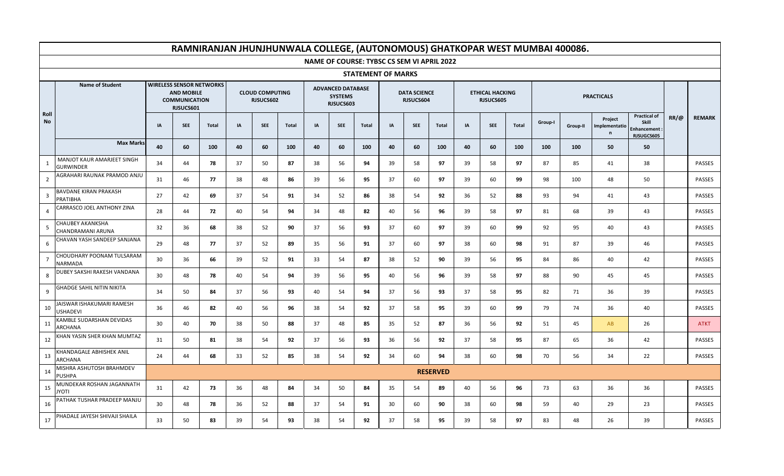|                |                                                |    |                                                                                           |              |    |                                     |              |    |                                                         |                           |    |                                            |                 |    |                                     |              |         | RAMNIRANJAN JHUNJHUNWALA COLLEGE, (AUTONOMOUS) GHATKOPAR WEST MUMBAI 400086. |                                          |                                                                  |             |               |
|----------------|------------------------------------------------|----|-------------------------------------------------------------------------------------------|--------------|----|-------------------------------------|--------------|----|---------------------------------------------------------|---------------------------|----|--------------------------------------------|-----------------|----|-------------------------------------|--------------|---------|------------------------------------------------------------------------------|------------------------------------------|------------------------------------------------------------------|-------------|---------------|
|                |                                                |    |                                                                                           |              |    |                                     |              |    |                                                         |                           |    | NAME OF COURSE: TYBSC CS SEM VI APRIL 2022 |                 |    |                                     |              |         |                                                                              |                                          |                                                                  |             |               |
|                |                                                |    |                                                                                           |              |    |                                     |              |    |                                                         | <b>STATEMENT OF MARKS</b> |    |                                            |                 |    |                                     |              |         |                                                                              |                                          |                                                                  |             |               |
|                | <b>Name of Student</b>                         |    | <b>WIRELESS SENSOR NETWORKS</b><br><b>AND MOBILE</b><br><b>COMMUNICATION</b><br>RJSUCS601 |              |    | <b>CLOUD COMPUTING</b><br>RJSUCS602 |              |    | <b>ADVANCED DATABASE</b><br><b>SYSTEMS</b><br>RJSUCS603 |                           |    | <b>DATA SCIENCE</b><br>RJSUCS604           |                 |    | <b>ETHICAL HACKING</b><br>RJSUCS605 |              |         |                                                                              | <b>PRACTICALS</b>                        |                                                                  |             |               |
| Roll<br>No     |                                                | IA | <b>SEE</b>                                                                                | <b>Total</b> | IA | <b>SEE</b>                          | <b>Total</b> | IA | <b>SEE</b>                                              | <b>Total</b>              | IA | <b>SEE</b>                                 | <b>Total</b>    | IA | <b>SEE</b>                          | <b>Total</b> | Group-I | Group-II                                                                     | Project<br>Implementatio<br>$\mathsf{n}$ | <b>Practical of</b><br>Skill<br><b>Enhancement</b><br>RJSUGCS605 | $RR/\omega$ | <b>REMARK</b> |
|                | <b>Max Marks</b>                               | 40 | 60                                                                                        | 100          | 40 | 60                                  | 100          | 40 | 60                                                      | 100                       | 40 | 60                                         | 100             | 40 | 60                                  | 100          | 100     | 100                                                                          | 50                                       | 50                                                               |             |               |
| $\overline{1}$ | MANJOT KAUR AMARJEET SINGH<br><b>GURWINDER</b> | 34 | 44                                                                                        | 78           | 37 | 50                                  | 87           | 38 | 56                                                      | 94                        | 39 | 58                                         | 97              | 39 | 58                                  | 97           | 87      | 85                                                                           | 41                                       | 38                                                               |             | <b>PASSES</b> |
| $\overline{2}$ | AGRAHARI RAUNAK PRAMOD ANJU                    | 31 | 46                                                                                        | 77           | 38 | 48                                  | 86           | 39 | 56                                                      | 95                        | 37 | 60                                         | 97              | 39 | 60                                  | 99           | 98      | 100                                                                          | 48                                       | 50                                                               |             | PASSES        |
| $\overline{3}$ | <b>BAVDANE KIRAN PRAKASH</b><br>PRATIBHA       | 27 | 42                                                                                        | 69           | 37 | 54                                  | 91           | 34 | 52                                                      | 86                        | 38 | 54                                         | 92              | 36 | 52                                  | 88           | 93      | 94                                                                           | 41                                       | 43                                                               |             | PASSES        |
| $\overline{4}$ | CARRASCO JOEL ANTHONY ZINA                     | 28 | 44                                                                                        | 72           | 40 | 54                                  | 94           | 34 | 48                                                      | 82                        | 40 | 56                                         | 96              | 39 | 58                                  | 97           | 81      | 68                                                                           | 39                                       | 43                                                               |             | PASSES        |
| 5              | CHAUBEY AKANKSHA<br>CHANDRAMANI ARUNA          | 32 | 36                                                                                        | 68           | 38 | 52                                  | 90           | 37 | 56                                                      | 93                        | 37 | 60                                         | 97              | 39 | 60                                  | 99           | 92      | 95                                                                           | 40                                       | 43                                                               |             | PASSES        |
| 6              | CHAVAN YASH SANDEEP SANJANA                    | 29 | 48                                                                                        | 77           | 37 | 52                                  | 89           | 35 | 56                                                      | 91                        | 37 | 60                                         | 97              | 38 | 60                                  | 98           | 91      | 87                                                                           | 39                                       | 46                                                               |             | PASSES        |
| $\overline{7}$ | CHOUDHARY POONAM TULSARAM<br>NARMADA           | 30 | 36                                                                                        | 66           | 39 | 52                                  | 91           | 33 | 54                                                      | 87                        | 38 | 52                                         | 90              | 39 | 56                                  | 95           | 84      | 86                                                                           | 40                                       | 42                                                               |             | PASSES        |
| 8              | DUBEY SAKSHI RAKESH VANDANA                    | 30 | 48                                                                                        | 78           | 40 | 54                                  | 94           | 39 | 56                                                      | 95                        | 40 | 56                                         | 96              | 39 | 58                                  | 97           | 88      | 90                                                                           | 45                                       | 45                                                               |             | <b>PASSES</b> |
| 9              | GHADGE SAHIL NITIN NIKITA                      | 34 | 50                                                                                        | 84           | 37 | 56                                  | 93           | 40 | 54                                                      | 94                        | 37 | 56                                         | 93              | 37 | 58                                  | 95           | 82      | 71                                                                           | 36                                       | 39                                                               |             | PASSES        |
| 10             | JAISWAR ISHAKUMARI RAMESH<br><b>USHADEVI</b>   | 36 | 46                                                                                        | 82           | 40 | 56                                  | 96           | 38 | 54                                                      | 92                        | 37 | 58                                         | 95              | 39 | 60                                  | 99           | 79      | 74                                                                           | 36                                       | 40                                                               |             | PASSES        |
| 11             | KAMBLE SUDARSHAN DEVIDAS<br><b>ARCHANA</b>     | 30 | 40                                                                                        | 70           | 38 | 50                                  | 88           | 37 | 48                                                      | 85                        | 35 | 52                                         | 87              | 36 | 56                                  | 92           | 51      | 45                                                                           | AB                                       | 26                                                               |             | <b>ATKT</b>   |
| 12             | KHAN YASIN SHER KHAN MUMTAZ                    | 31 | 50                                                                                        | 81           | 38 | 54                                  | 92           | 37 | 56                                                      | 93                        | 36 | 56                                         | 92              | 37 | 58                                  | 95           | 87      | 65                                                                           | 36                                       | 42                                                               |             | PASSES        |
| 13             | KHANDAGALE ABHISHEK ANIL<br>ARCHANA            | 24 | 44                                                                                        | 68           | 33 | 52                                  | 85           | 38 | 54                                                      | 92                        | 34 | 60                                         | 94              | 38 | 60                                  | 98           | 70      | 56                                                                           | 34                                       | 22                                                               |             | PASSES        |
| 14             | MISHRA ASHUTOSH BRAHMDEV<br><b>PUSHPA</b>      |    |                                                                                           |              |    |                                     |              |    |                                                         |                           |    |                                            | <b>RESERVED</b> |    |                                     |              |         |                                                                              |                                          |                                                                  |             |               |
| 15             | MUNDEKAR ROSHAN JAGANNATH<br><b>ITOYL</b>      | 31 | 42                                                                                        | 73           | 36 | 48                                  | 84           | 34 | 50                                                      | 84                        | 35 | 54                                         | 89              | 40 | 56                                  | 96           | 73      | 63                                                                           | 36                                       | 36                                                               |             | <b>PASSES</b> |
| 16             | PATHAK TUSHAR PRADEEP MANJU                    | 30 | 48                                                                                        | 78           | 36 | 52                                  | 88           | 37 | 54                                                      | 91                        | 30 | 60                                         | 90              | 38 | 60                                  | 98           | 59      | 40                                                                           | 29                                       | 23                                                               |             | <b>PASSES</b> |
| 17             | PHADALE JAYESH SHIVAJI SHAILA                  | 33 | 50                                                                                        | 83           | 39 | 54                                  | 93           | 38 | 54                                                      | 92                        | 37 | 58                                         | 95              | 39 | 58                                  | 97           | 83      | 48                                                                           | 26                                       | 39                                                               |             | PASSES        |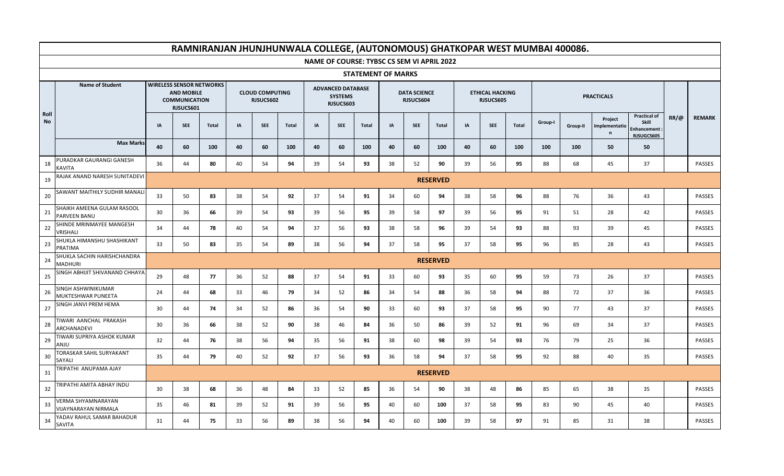|            |                                                   |    |                                                                                           |              |           |                                     |              |    |                                                         |                           |    |                                  |                                                   |           |                                     |              |         | RAMNIRANJAN JHUNJHUNWALA COLLEGE, (AUTONOMOUS) GHATKOPAR WEST MUMBAI 400086. |                                          |                                                                  |             |               |
|------------|---------------------------------------------------|----|-------------------------------------------------------------------------------------------|--------------|-----------|-------------------------------------|--------------|----|---------------------------------------------------------|---------------------------|----|----------------------------------|---------------------------------------------------|-----------|-------------------------------------|--------------|---------|------------------------------------------------------------------------------|------------------------------------------|------------------------------------------------------------------|-------------|---------------|
|            |                                                   |    |                                                                                           |              |           |                                     |              |    |                                                         |                           |    |                                  | <b>NAME OF COURSE: TYBSC CS SEM VI APRIL 2022</b> |           |                                     |              |         |                                                                              |                                          |                                                                  |             |               |
|            |                                                   |    |                                                                                           |              |           |                                     |              |    |                                                         | <b>STATEMENT OF MARKS</b> |    |                                  |                                                   |           |                                     |              |         |                                                                              |                                          |                                                                  |             |               |
|            | <b>Name of Student</b>                            |    | <b>WIRELESS SENSOR NETWORKS</b><br><b>AND MOBILE</b><br><b>COMMUNICATION</b><br>RJSUCS601 |              |           | <b>CLOUD COMPUTING</b><br>RJSUCS602 |              |    | <b>ADVANCED DATABASE</b><br><b>SYSTEMS</b><br>RJSUCS603 |                           |    | <b>DATA SCIENCE</b><br>RJSUCS604 |                                                   |           | <b>ETHICAL HACKING</b><br>RJSUCS605 |              |         |                                                                              | <b>PRACTICALS</b>                        |                                                                  |             |               |
| Roll<br>No |                                                   | IA | <b>SEE</b>                                                                                | <b>Total</b> | <b>IA</b> | <b>SEE</b>                          | <b>Total</b> | IA | <b>SEE</b>                                              | Total                     | IA | <b>SEE</b>                       | Total                                             | <b>IA</b> | <b>SEE</b>                          | <b>Total</b> | Group-I | Group-II                                                                     | Project<br>Implementatio<br>$\mathsf{n}$ | <b>Practical of</b><br>Skill<br><b>Enhancement</b><br>RJSUGCS605 | $RR/\omega$ | <b>REMARK</b> |
|            | <b>Max Marks</b>                                  | 40 | 60                                                                                        | 100          | 40        | 60                                  | 100          | 40 | 60                                                      | 100                       | 40 | 60                               | 100                                               | 40        | 60                                  | 100          | 100     | 100                                                                          | 50                                       | 50                                                               |             |               |
| 18         | PURADKAR GAURANGI GANESH<br><b>KAVITA</b>         | 36 | 44                                                                                        | 80           | 40        | 54                                  | 94           | 39 | 54                                                      | 93                        | 38 | 52                               | 90                                                | 39        | 56                                  | 95           | 88      | 68                                                                           | 45                                       | 37                                                               |             | <b>PASSES</b> |
| 19         | RAJAK ANAND NARESH SUNITADEVI                     |    |                                                                                           |              |           |                                     |              |    |                                                         |                           |    |                                  | <b>RESERVED</b>                                   |           |                                     |              |         |                                                                              |                                          |                                                                  |             |               |
| 20         | SAWANT MAITHILY SUDHIR MANALI                     | 33 | 50                                                                                        | 83           | 38        | 54                                  | 92           | 37 | 54                                                      | 91                        | 34 | 60                               | 94                                                | 38        | 58                                  | 96           | 88      | 76                                                                           | 36                                       | 43                                                               |             | PASSES        |
| 21         | SHAIKH AMEENA GULAM RASOOL<br>PARVEEN BANU        | 30 | 36                                                                                        | 66           | 39        | 54                                  | 93           | 39 | 56                                                      | 95                        | 39 | 58                               | 97                                                | 39        | 56                                  | 95           | 91      | 51                                                                           | 28                                       | 42                                                               |             | <b>PASSES</b> |
| 22         | SHINDE MRINMAYEE MANGESH<br>VRISHALI              | 34 | 44                                                                                        | 78           | 40        | 54                                  | 94           | 37 | 56                                                      | 93                        | 38 | 58                               | 96                                                | 39        | 54                                  | 93           | 88      | 93                                                                           | 39                                       | 45                                                               |             | PASSES        |
| 23         | SHUKLA HIMANSHU SHASHIKANT<br>PRATIMA             | 33 | 50                                                                                        | 83           | 35        | 54                                  | 89           | 38 | 56                                                      | 94                        | 37 | 58                               | 95                                                | 37        | 58                                  | 95           | 96      | 85                                                                           | 28                                       | 43                                                               |             | PASSES        |
| 24         | SHUKLA SACHIN HARISHCHANDRA<br><b>MADHURI</b>     |    |                                                                                           |              |           |                                     |              |    |                                                         |                           |    |                                  | <b>RESERVED</b>                                   |           |                                     |              |         |                                                                              |                                          |                                                                  |             |               |
| 25         | SINGH ABHIJIT SHIVANAND CHHAYA                    | 29 | 48                                                                                        | 77           | 36        | 52                                  | 88           | 37 | 54                                                      | 91                        | 33 | 60                               | 93                                                | 35        | 60                                  | 95           | 59      | 73                                                                           | 26                                       | 37                                                               |             | PASSES        |
| 26         | SINGH ASHWINIKUMAR<br>MUKTESHWAR PUNEETA          | 24 | 44                                                                                        | 68           | 33        | 46                                  | 79           | 34 | 52                                                      | 86                        | 34 | 54                               | 88                                                | 36        | 58                                  | 94           | 88      | 72                                                                           | 37                                       | 36                                                               |             | PASSES        |
| 27         | SINGH JANVI PREM HEMA                             | 30 | 44                                                                                        | 74           | 34        | 52                                  | 86           | 36 | 54                                                      | 90                        | 33 | 60                               | 93                                                | 37        | 58                                  | 95           | 90      | 77                                                                           | 43                                       | 37                                                               |             | PASSES        |
| 28         | TIWARI AANCHAL PRAKASH<br>ARCHANADEVI             | 30 | 36                                                                                        | 66           | 38        | 52                                  | 90           | 38 | 46                                                      | 84                        | 36 | 50                               | 86                                                | 39        | 52                                  | 91           | 96      | 69                                                                           | 34                                       | 37                                                               |             | PASSES        |
| 29         | TIWARI SUPRIYA ASHOK KUMAR<br>ANJU                | 32 | 44                                                                                        | 76           | 38        | 56                                  | 94           | 35 | 56                                                      | 91                        | 38 | 60                               | 98                                                | 39        | 54                                  | 93           | 76      | 79                                                                           | 25                                       | 36                                                               |             | PASSES        |
| 30         | TORASKAR SAHIL SURYAKANT<br>SAYALI                | 35 | 44                                                                                        | 79           | 40        | 52                                  | 92           | 37 | 56                                                      | 93                        | 36 | 58                               | 94                                                | 37        | 58                                  | 95           | 92      | 88                                                                           | 40                                       | 35                                                               |             | PASSES        |
| 31         | TRIPATHI ANUPAMA AJAY                             |    |                                                                                           |              |           |                                     |              |    |                                                         |                           |    |                                  | <b>RESERVED</b>                                   |           |                                     |              |         |                                                                              |                                          |                                                                  |             |               |
| 32         | TRIPATHI AMITA ABHAY INDU                         | 30 | 38                                                                                        | 68           | 36        | 48                                  | 84           | 33 | 52                                                      | 85                        | 36 | 54                               | 90                                                | 38        | 48                                  | 86           | 85      | 65                                                                           | 38                                       | 35                                                               |             | PASSES        |
| 33         | VERMA SHYAMNARAYAN<br><b>VIJAYNARAYAN NIRMALA</b> | 35 | 46                                                                                        | 81           | 39        | 52                                  | 91           | 39 | 56                                                      | 95                        | 40 | 60                               | 100                                               | 37        | 58                                  | 95           | 83      | 90                                                                           | 45                                       | 40                                                               |             | PASSES        |
| 34         | YADAV RAHUL SAMAR BAHADUR<br>SAVITA               | 31 | 44                                                                                        | 75           | 33        | 56                                  | 89           | 38 | 56                                                      | 94                        | 40 | 60                               | 100                                               | 39        | 58                                  | 97           | 91      | 85                                                                           | 31                                       | 38                                                               |             | <b>PASSES</b> |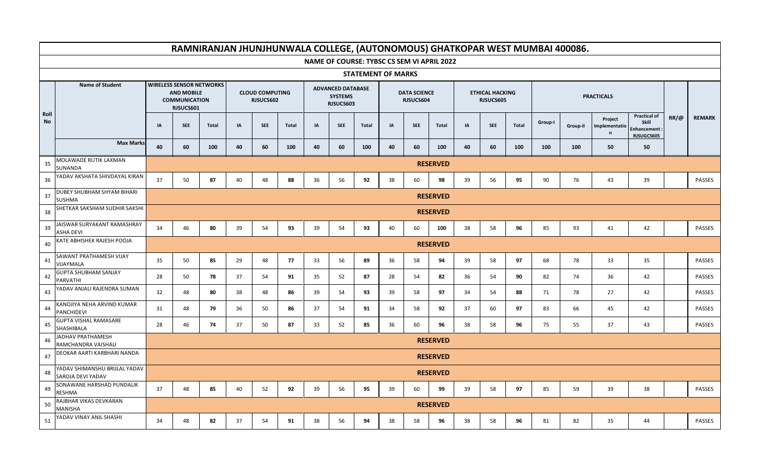|                   |                                                    |    |                                                                                                           |              |    |                                     |              |    |                                                         |                           |    |                                            |                 |    |                                     |              |         | RAMNIRANJAN JHUNJHUNWALA COLLEGE, (AUTONOMOUS) GHATKOPAR WEST MUMBAI 400086. |                                          |                                                                  |             |               |
|-------------------|----------------------------------------------------|----|-----------------------------------------------------------------------------------------------------------|--------------|----|-------------------------------------|--------------|----|---------------------------------------------------------|---------------------------|----|--------------------------------------------|-----------------|----|-------------------------------------|--------------|---------|------------------------------------------------------------------------------|------------------------------------------|------------------------------------------------------------------|-------------|---------------|
|                   |                                                    |    |                                                                                                           |              |    |                                     |              |    |                                                         |                           |    | NAME OF COURSE: TYBSC CS SEM VI APRIL 2022 |                 |    |                                     |              |         |                                                                              |                                          |                                                                  |             |               |
|                   |                                                    |    |                                                                                                           |              |    |                                     |              |    |                                                         | <b>STATEMENT OF MARKS</b> |    |                                            |                 |    |                                     |              |         |                                                                              |                                          |                                                                  |             |               |
|                   | <b>Name of Student</b>                             |    | <b>WIRELESS SENSOR NETWORKS</b><br><b>AND MOBILE</b><br><b>COMMUNICATION</b><br>RJSUCS601                 |              |    | <b>CLOUD COMPUTING</b><br>RJSUCS602 |              |    | <b>ADVANCED DATABASE</b><br><b>SYSTEMS</b><br>RJSUCS603 |                           |    | <b>DATA SCIENCE</b><br>RJSUCS604           |                 |    | <b>ETHICAL HACKING</b><br>RJSUCS605 |              |         |                                                                              | <b>PRACTICALS</b>                        |                                                                  |             |               |
| Roll<br><b>No</b> |                                                    | IA | <b>SEE</b>                                                                                                | <b>Total</b> | IA | <b>SEE</b>                          | <b>Total</b> | IA | <b>SEE</b>                                              | Total                     | IA | <b>SEE</b>                                 | <b>Total</b>    | IA | <b>SEE</b>                          | <b>Total</b> | Group-I | Group-II                                                                     | Project<br>Implementatio<br>$\mathsf{n}$ | <b>Practical of</b><br><b>Skill</b><br>Enhancement<br>RJSUGCS605 | $RR/\omega$ | <b>REMARK</b> |
|                   | <b>Max Marks</b>                                   | 40 | 60                                                                                                        | 100          | 40 | 60                                  | 100          | 40 | 60                                                      | 100                       | 40 | 60                                         | 100             | 40 | 60                                  | 100          | 100     | 100                                                                          | 50                                       | 50                                                               |             |               |
| 35                | MOLAWADE RUTIK LAXMAN<br>SUNANDA                   |    |                                                                                                           |              |    |                                     |              |    |                                                         |                           |    |                                            | <b>RESERVED</b> |    |                                     |              |         |                                                                              |                                          |                                                                  |             |               |
| 36                | YADAV AKSHATA SHIVDAYAL KIRAN                      | 37 | 50                                                                                                        | 87           | 40 | 48                                  | 88           | 36 | 56                                                      | 92                        | 38 | 60                                         | 98              | 39 | 56                                  | 95           | 90      | 76                                                                           | 43                                       | 39                                                               |             | PASSES        |
| 37                | DUBEY SHUBHAM SHYAM BIHARI<br><b>SUSHMA</b>        |    | <b>RESERVED</b><br><b>RESERVED</b>                                                                        |              |    |                                     |              |    |                                                         |                           |    |                                            |                 |    |                                     |              |         |                                                                              |                                          |                                                                  |             |               |
| 38                | SHETKAR SAKSHAM SUDHIR SAKSHI                      |    |                                                                                                           |              |    |                                     |              |    |                                                         |                           |    |                                            |                 |    |                                     |              |         |                                                                              |                                          |                                                                  |             |               |
| 39                | JAISWAR SURYAKANT RAMASHRAY<br><b>ASHA DEVI</b>    | 34 | 46<br>80<br>39<br>54<br>93<br>39<br>54<br>93<br>40<br>60<br>100<br>38<br>58<br>96<br>85<br>93<br>41<br>42 |              |    |                                     |              |    |                                                         |                           |    |                                            |                 |    |                                     |              |         | PASSES                                                                       |                                          |                                                                  |             |               |
| 40                | KATE ABHISHEK RAJESH POOJA                         |    | <b>RESERVED</b>                                                                                           |              |    |                                     |              |    |                                                         |                           |    |                                            |                 |    |                                     |              |         |                                                                              |                                          |                                                                  |             |               |
| 41                | SAWANT PRATHAMESH VIJAY<br>VIJAYMALA               | 35 | 50                                                                                                        | 85           | 29 | 48                                  | 77           | 33 | 56                                                      | 89                        | 36 | 58                                         | 94              | 39 | 58                                  | 97           | 68      | 78                                                                           | 33                                       | 35                                                               |             | PASSES        |
| 42                | <b>GUPTA SHUBHAM SANJAY</b><br>PARVATHI            | 28 | 50                                                                                                        | 78           | 37 | 54                                  | 91           | 35 | 52                                                      | 87                        | 28 | 54                                         | 82              | 36 | 54                                  | 90           | 82      | 74                                                                           | 36                                       | 42                                                               |             | PASSES        |
| 43                | YADAV ANJALI RAJENDRA SUMAN                        | 32 | 48                                                                                                        | 80           | 38 | 48                                  | 86           | 39 | 54                                                      | 93                        | 39 | 58                                         | 97              | 34 | 54                                  | 88           | 71      | 78                                                                           | 27                                       | 42                                                               |             | <b>PASSES</b> |
| 44                | KANOJIYA NEHA ARVIND KUMAR<br>PANCHIDEVI           | 31 | 48                                                                                                        | 79           | 36 | 50                                  | 86           | 37 | 54                                                      | 91                        | 34 | 58                                         | 92              | 37 | 60                                  | 97           | 83      | 66                                                                           | 45                                       | 42                                                               |             | PASSES        |
| 45                | <b>GUPTA VISHAL RAMASARE</b><br>SHASHIBALA         | 28 | 46                                                                                                        | 74           | 37 | 50                                  | 87           | 33 | 52                                                      | 85                        | 36 | 60                                         | 96              | 38 | 58                                  | 96           | 75      | 55                                                                           | 37                                       | 43                                                               |             | <b>PASSES</b> |
| 46                | JADHAV PRATHAMESH<br>RAMCHANDRA VAISHALI           |    |                                                                                                           |              |    |                                     |              |    |                                                         |                           |    |                                            | <b>RESERVED</b> |    |                                     |              |         |                                                                              |                                          |                                                                  |             |               |
| 47                | DEOKAR AARTI KARBHARI NANDA                        |    |                                                                                                           |              |    |                                     |              |    |                                                         |                           |    |                                            | <b>RESERVED</b> |    |                                     |              |         |                                                                              |                                          |                                                                  |             |               |
| 48                | YADAV SHIMANSHU BRIJLAL YADAV<br>SAROJA DEVI YADAV |    |                                                                                                           |              |    |                                     |              |    |                                                         |                           |    |                                            | <b>RESERVED</b> |    |                                     |              |         |                                                                              |                                          |                                                                  |             |               |
| 49                | SONAWANE HARSHAD PUNDALIK<br>RESHMA                | 37 | 48                                                                                                        | 85           | 40 | 52                                  | 92           | 39 | 56                                                      | 95                        | 39 | 60                                         | 99              | 39 | 58                                  | 97           | 85      | 59                                                                           | 39                                       | 38                                                               |             | PASSES        |
| 50                | RAJBHAR VIKAS DEVKARAN<br>MANISHA                  |    |                                                                                                           |              |    |                                     |              |    |                                                         |                           |    |                                            | <b>RESERVED</b> |    |                                     |              |         |                                                                              |                                          |                                                                  |             |               |
| 51                | YADAV VINAY ANIL SHASHI                            | 34 | 48                                                                                                        | 82           | 37 | 54                                  | 91           | 38 | 56                                                      | 94                        | 38 | 58                                         | 96              | 38 | 58                                  | 96           | 81      | 82                                                                           | 35                                       | 44                                                               |             | PASSES        |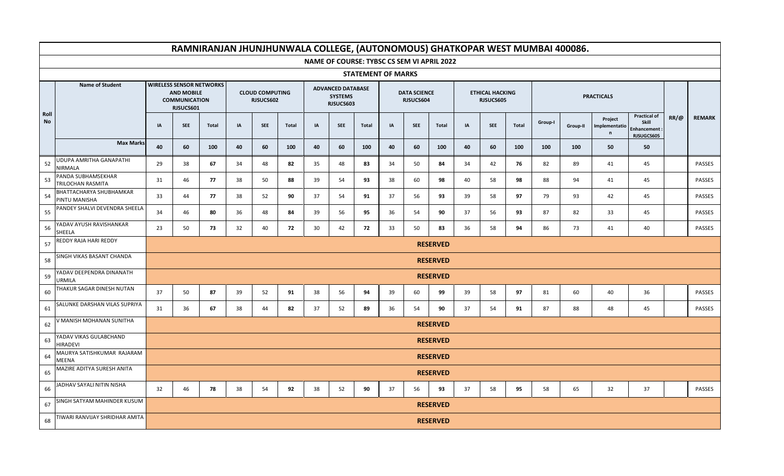|            |                                           |    |                                                                                           |       |    |                                     |              |    |                                                         |                           |    |                                  |                                            |    |                                     |              |         | RAMNIRANJAN JHUNJHUNWALA COLLEGE, (AUTONOMOUS) GHATKOPAR WEST MUMBAI 400086. |                               |                                                                  |             |               |
|------------|-------------------------------------------|----|-------------------------------------------------------------------------------------------|-------|----|-------------------------------------|--------------|----|---------------------------------------------------------|---------------------------|----|----------------------------------|--------------------------------------------|----|-------------------------------------|--------------|---------|------------------------------------------------------------------------------|-------------------------------|------------------------------------------------------------------|-------------|---------------|
|            |                                           |    |                                                                                           |       |    |                                     |              |    |                                                         |                           |    |                                  | NAME OF COURSE: TYBSC CS SEM VI APRIL 2022 |    |                                     |              |         |                                                                              |                               |                                                                  |             |               |
|            |                                           |    |                                                                                           |       |    |                                     |              |    |                                                         | <b>STATEMENT OF MARKS</b> |    |                                  |                                            |    |                                     |              |         |                                                                              |                               |                                                                  |             |               |
|            | <b>Name of Student</b>                    |    | <b>WIRELESS SENSOR NETWORKS</b><br><b>AND MOBILE</b><br><b>COMMUNICATION</b><br>RJSUCS601 |       |    | <b>CLOUD COMPUTING</b><br>RJSUCS602 |              |    | <b>ADVANCED DATABASE</b><br><b>SYSTEMS</b><br>RJSUCS603 |                           |    | <b>DATA SCIENCE</b><br>RJSUCS604 |                                            |    | <b>ETHICAL HACKING</b><br>RJSUCS605 |              |         |                                                                              | <b>PRACTICALS</b>             |                                                                  |             |               |
| Roll<br>No |                                           | IA | <b>SEE</b>                                                                                | Total | IA | <b>SEE</b>                          | <b>Total</b> | IA | <b>SEE</b>                                              | <b>Total</b>              | IA | <b>SEE</b>                       | <b>Total</b>                               | IA | <b>SEE</b>                          | <b>Total</b> | Group-I | Group-II                                                                     | Project<br>Implementatio<br>n | <b>Practical of</b><br>Skill<br><b>Enhancement</b><br>RJSUGCS605 | $RR/\omega$ | <b>REMARK</b> |
|            | <b>Max Marks</b>                          | 40 | 60                                                                                        | 100   | 40 | 60                                  | 100          | 40 | 60                                                      | 100                       | 40 | 60                               | 100                                        | 40 | 60                                  | 100          | 100     | 100                                                                          | 50                            | 50                                                               |             |               |
| 52         | UDUPA AMRITHA GANAPATHI<br>NIRMALA        | 29 | 38                                                                                        | 67    | 34 | 48                                  | 82           | 35 | 48                                                      | 83                        | 34 | 50                               | 84                                         | 34 | 42                                  | 76           | 82      | 89                                                                           | 41                            | 45                                                               |             | PASSES        |
| 53         | PANDA SUBHAMSEKHAR<br>TRILOCHAN RASMITA   | 31 | 46                                                                                        | 77    | 38 | 50                                  | 88           | 39 | 54                                                      | 93                        | 38 | 60                               | 98                                         | 40 | 58                                  | 98           | 88      | 94                                                                           | 41                            | 45                                                               |             | <b>PASSES</b> |
| 54         | BHATTACHARYA SHUBHAMKAR<br>PINTU MANISHA  | 33 | 44                                                                                        | 77    | 38 | 52                                  | 90           | 37 | 54                                                      | 91                        | 37 | 56                               | 93                                         | 39 | 58                                  | 97           | 79      | 93                                                                           | 42                            | 45                                                               |             | <b>PASSES</b> |
| 55         | PANDEY SHALVI DEVENDRA SHEELA             | 34 | 46                                                                                        | 80    | 36 | 48                                  | 84           | 39 | 56                                                      | 95                        | 36 | 54                               | 90                                         | 37 | 56                                  | 93           | 87      | 82                                                                           | 33                            | 45                                                               |             | PASSES        |
| 56         | YADAV AYUSH RAVISHANKAR<br>SHEELA         | 23 | 50                                                                                        | 73    | 32 | 40                                  | 72           | 30 | 42                                                      | 72                        | 33 | 50                               | 83                                         | 36 | 58                                  | 94           | 86      | 73                                                                           | 41                            | 40                                                               |             | PASSES        |
| 57         | REDDY RAJA HARI REDDY                     |    | <b>RESERVED</b>                                                                           |       |    |                                     |              |    |                                                         |                           |    |                                  |                                            |    |                                     |              |         |                                                                              |                               |                                                                  |             |               |
| 58         | SINGH VIKAS BASANT CHANDA                 |    | <b>RESERVED</b>                                                                           |       |    |                                     |              |    |                                                         |                           |    |                                  |                                            |    |                                     |              |         |                                                                              |                               |                                                                  |             |               |
| 59         | YADAV DEEPENDRA DINANATH<br><b>URMILA</b> |    |                                                                                           |       |    |                                     |              |    |                                                         |                           |    |                                  | <b>RESERVED</b>                            |    |                                     |              |         |                                                                              |                               |                                                                  |             |               |
| 60         | THAKUR SAGAR DINESH NUTAN                 | 37 | 50                                                                                        | 87    | 39 | 52                                  | 91           | 38 | 56                                                      | 94                        | 39 | 60                               | 99                                         | 39 | 58                                  | 97           | 81      | 60                                                                           | 40                            | 36                                                               |             | PASSES        |
| 61         | SALUNKE DARSHAN VILAS SUPRIYA             | 31 | 36                                                                                        | 67    | 38 | 44                                  | 82           | 37 | 52                                                      | 89                        | 36 | 54                               | 90                                         | 37 | 54                                  | 91           | 87      | 88                                                                           | 48                            | 45                                                               |             | <b>PASSES</b> |
| 62         | V MANISH MOHANAN SUNITHA                  |    |                                                                                           |       |    |                                     |              |    |                                                         |                           |    |                                  | <b>RESERVED</b>                            |    |                                     |              |         |                                                                              |                               |                                                                  |             |               |
| 63         | YADAV VIKAS GULABCHAND<br><b>HIRADEVI</b> |    |                                                                                           |       |    |                                     |              |    |                                                         |                           |    |                                  | <b>RESERVED</b>                            |    |                                     |              |         |                                                                              |                               |                                                                  |             |               |
| 64         | MAURYA SATISHKUMAR RAJARAM<br>MEENA       |    |                                                                                           |       |    |                                     |              |    |                                                         |                           |    |                                  | <b>RESERVED</b>                            |    |                                     |              |         |                                                                              |                               |                                                                  |             |               |
| 65         | MAZIRE ADITYA SURESH ANITA                |    |                                                                                           |       |    |                                     |              |    |                                                         |                           |    |                                  | <b>RESERVED</b>                            |    |                                     |              |         |                                                                              |                               |                                                                  |             |               |
| 66         | JADHAV SAYALI NITIN NISHA                 | 32 | 46                                                                                        | 78    | 38 | 54                                  | 92           | 38 | 52                                                      | 90                        | 37 | 56                               | 93                                         | 37 | 58                                  | 95           | 58      | 65                                                                           | 32                            | 37                                                               |             | PASSES        |
| 67         | SINGH SATYAM MAHINDER KUSUM               |    |                                                                                           |       |    |                                     |              |    |                                                         |                           |    |                                  | <b>RESERVED</b>                            |    |                                     |              |         |                                                                              |                               |                                                                  |             |               |
| 68         | TIWARI RANVIJAY SHRIDHAR AMITA            |    |                                                                                           |       |    |                                     |              |    |                                                         |                           |    |                                  | <b>RESERVED</b>                            |    |                                     |              |         |                                                                              |                               |                                                                  |             |               |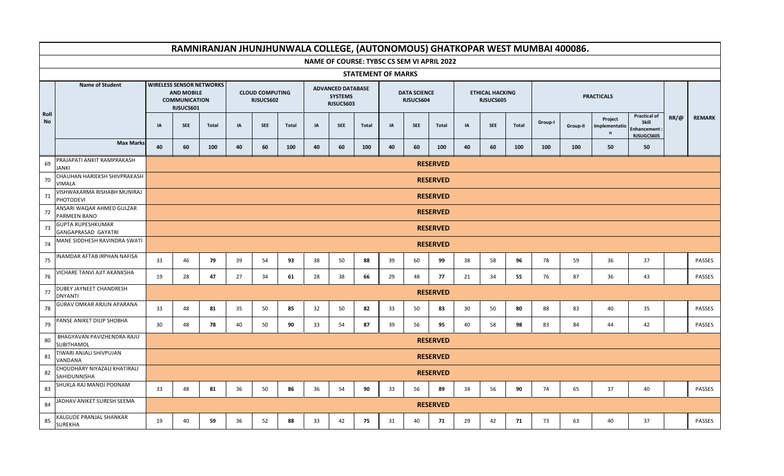|            |                                                 |    |                                                                                           |              |    |                                     |              |    |                                                         |                           |    |                                  |                                            |    |                                     |              |         | RAMNIRANJAN JHUNJHUNWALA COLLEGE, (AUTONOMOUS) GHATKOPAR WEST MUMBAI 400086. |                                          |                                                           |             |               |
|------------|-------------------------------------------------|----|-------------------------------------------------------------------------------------------|--------------|----|-------------------------------------|--------------|----|---------------------------------------------------------|---------------------------|----|----------------------------------|--------------------------------------------|----|-------------------------------------|--------------|---------|------------------------------------------------------------------------------|------------------------------------------|-----------------------------------------------------------|-------------|---------------|
|            |                                                 |    |                                                                                           |              |    |                                     |              |    |                                                         |                           |    |                                  | NAME OF COURSE: TYBSC CS SEM VI APRIL 2022 |    |                                     |              |         |                                                                              |                                          |                                                           |             |               |
|            |                                                 |    |                                                                                           |              |    |                                     |              |    |                                                         | <b>STATEMENT OF MARKS</b> |    |                                  |                                            |    |                                     |              |         |                                                                              |                                          |                                                           |             |               |
|            | <b>Name of Student</b>                          |    | <b>WIRELESS SENSOR NETWORKS</b><br><b>AND MOBILE</b><br><b>COMMUNICATION</b><br>RJSUCS601 |              |    | <b>CLOUD COMPUTING</b><br>RJSUCS602 |              |    | <b>ADVANCED DATABASE</b><br><b>SYSTEMS</b><br>RJSUCS603 |                           |    | <b>DATA SCIENCE</b><br>RJSUCS604 |                                            |    | <b>ETHICAL HACKING</b><br>RJSUCS605 |              |         |                                                                              | <b>PRACTICALS</b>                        |                                                           |             |               |
| Roll<br>No |                                                 | IA | <b>SEE</b>                                                                                | <b>Total</b> | IA | <b>SEE</b>                          | <b>Total</b> | IA | <b>SEE</b>                                              | <b>Total</b>              | IA | <b>SEE</b>                       | <b>Total</b>                               | IA | <b>SEE</b>                          | <b>Total</b> | Group-I | Group-II                                                                     | Project<br>Implementatio<br>$\mathsf{n}$ | <b>Practical of</b><br>Skill<br>Enhancement<br>RJSUGCS605 | $RR/\omega$ | <b>REMARK</b> |
|            | <b>Max Marks</b>                                | 40 | 60                                                                                        | 100          | 40 | 60                                  | 100          | 40 | 60                                                      | 100                       | 40 | 60                               | 100                                        | 40 | 60                                  | 100          | 100     | 100                                                                          | 50                                       | 50                                                        |             |               |
| 69         | PRAJAPATI ANKIT RAMPRAKASH<br><b>JANKI</b>      |    |                                                                                           |              |    |                                     |              |    |                                                         |                           |    |                                  | <b>RESERVED</b>                            |    |                                     |              |         |                                                                              |                                          |                                                           |             |               |
| 70         | CHAUHAN HARIEKSH SHIVPRAKASH<br><b>VIMALA</b>   |    |                                                                                           |              |    |                                     |              |    |                                                         |                           |    |                                  | <b>RESERVED</b>                            |    |                                     |              |         |                                                                              |                                          |                                                           |             |               |
| 71         | VISHWAKARMA RISHABH MUNIRAJ<br><b>PHOTODEVI</b> |    | <b>RESERVED</b><br><b>RESERVED</b>                                                        |              |    |                                     |              |    |                                                         |                           |    |                                  |                                            |    |                                     |              |         |                                                                              |                                          |                                                           |             |               |
| 72         | ANSARI WAQAR AHMED GULZAR<br>PARMEEN BANO       |    | <b>RESERVED</b>                                                                           |              |    |                                     |              |    |                                                         |                           |    |                                  |                                            |    |                                     |              |         |                                                                              |                                          |                                                           |             |               |
| 73         | <b>GUPTA RUPESHKUMAR</b><br>GANGAPRASAD GAYATRI |    |                                                                                           |              |    |                                     |              |    |                                                         |                           |    |                                  |                                            |    |                                     |              |         |                                                                              |                                          |                                                           |             |               |
| 74         | MANE SIDDHESH RAVINDRA SWATI                    |    | <b>RESERVED</b>                                                                           |              |    |                                     |              |    |                                                         |                           |    |                                  |                                            |    |                                     |              |         |                                                                              |                                          |                                                           |             |               |
| 75         | INAMDAR AFTAB IRPHAN NAFISA                     | 33 | 46                                                                                        | 79           | 39 | 54                                  | 93           | 38 | 50                                                      | 88                        | 39 | 60                               | 99                                         | 38 | 58                                  | 96           | 78      | 59                                                                           | 36                                       | 37                                                        |             | PASSES        |
| 76         | VICHARE TANVI AJIT AKANKSHA                     | 19 | 28                                                                                        | 47           | 27 | 34                                  | 61           | 28 | 38                                                      | 66                        | 29 | 48                               | 77                                         | 21 | 34                                  | 55           | 76      | 87                                                                           | 36                                       | 43                                                        |             | PASSES        |
| 77         | DUBEY JAYNEET CHANDRESH<br><b>DNYANTI</b>       |    |                                                                                           |              |    |                                     |              |    |                                                         |                           |    |                                  | <b>RESERVED</b>                            |    |                                     |              |         |                                                                              |                                          |                                                           |             |               |
| 78         | GURAV OMKAR ARJUN APARANA                       | 33 | 48                                                                                        | 81           | 35 | 50                                  | 85           | 32 | 50                                                      | 82                        | 33 | 50                               | 83                                         | 30 | 50                                  | 80           | 88      | 83                                                                           | 40                                       | 35                                                        |             | PASSES        |
| 79         | PANSE ANIKET DILIP SHOBHA                       | 30 | 48                                                                                        | 78           | 40 | 50                                  | 90           | 33 | 54                                                      | 87                        | 39 | 56                               | 95                                         | 40 | 58                                  | 98           | 83      | 84                                                                           | 44                                       | 42                                                        |             | PASSES        |
| 80         | BHAGYAVAN PAVIZHENDRA RAJU<br>SUBITHAMOL        |    |                                                                                           |              |    |                                     |              |    |                                                         |                           |    |                                  | <b>RESERVED</b>                            |    |                                     |              |         |                                                                              |                                          |                                                           |             |               |
| 81         | TIWARI ANJALI SHIVPUJAN<br>VANDANA              |    |                                                                                           |              |    |                                     |              |    |                                                         |                           |    |                                  | <b>RESERVED</b>                            |    |                                     |              |         |                                                                              |                                          |                                                           |             |               |
| 82         | CHOUDHARY NIYAZALI KHATIRALI<br>SAHIDUNNISHA    |    |                                                                                           |              |    |                                     |              |    |                                                         |                           |    |                                  | <b>RESERVED</b>                            |    |                                     |              |         |                                                                              |                                          |                                                           |             |               |
| 83         | SHUKLA RAJ MANOJ POONAM                         | 33 | 48                                                                                        | 81           | 36 | 50                                  | 86           | 36 | 54                                                      | 90                        | 33 | 56                               | 89                                         | 34 | 56                                  | 90           | 74      | 65                                                                           | 37                                       | 40                                                        |             | PASSES        |
| 84         | JADHAV ANIKET SURESH SEEMA                      |    |                                                                                           |              |    |                                     |              |    |                                                         |                           |    |                                  | <b>RESERVED</b>                            |    |                                     |              |         |                                                                              |                                          |                                                           |             |               |
| 85         | KALGUDE PRANJAL SHANKAR<br><b>SUREKHA</b>       | 19 | 40                                                                                        | 59           | 36 | 52                                  | 88           | 33 | 42                                                      | 75                        | 31 | 40                               | 71                                         | 29 | 42                                  | 71           | 73      | 63                                                                           | 40                                       | 37                                                        |             | PASSES        |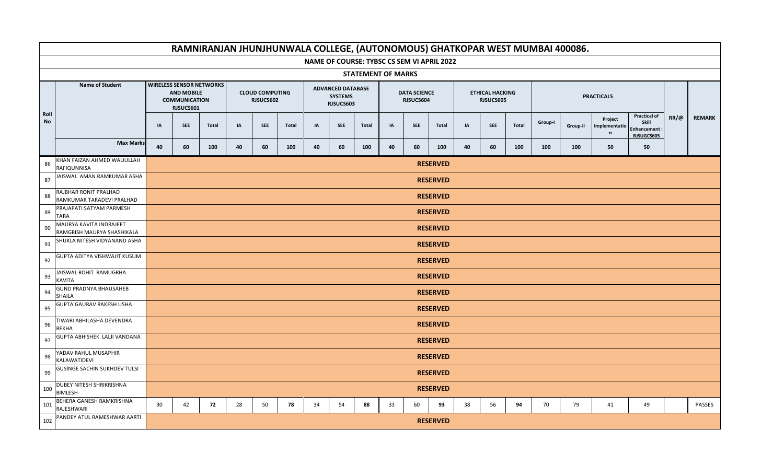|                       |                                                       |    |                                                                                           |              |    |                                     |              |    |                                                         |              |                           |                                  |                 |    |                                     |              |         | RAMNIRANJAN JHUNJHUNWALA COLLEGE, (AUTONOMOUS) GHATKOPAR WEST MUMBAI 400086. |                                          |                                                           |             |               |
|-----------------------|-------------------------------------------------------|----|-------------------------------------------------------------------------------------------|--------------|----|-------------------------------------|--------------|----|---------------------------------------------------------|--------------|---------------------------|----------------------------------|-----------------|----|-------------------------------------|--------------|---------|------------------------------------------------------------------------------|------------------------------------------|-----------------------------------------------------------|-------------|---------------|
|                       |                                                       |    |                                                                                           |              |    |                                     |              |    | NAME OF COURSE: TYBSC CS SEM VI APRIL 2022              |              |                           |                                  |                 |    |                                     |              |         |                                                                              |                                          |                                                           |             |               |
|                       |                                                       |    |                                                                                           |              |    |                                     |              |    |                                                         |              | <b>STATEMENT OF MARKS</b> |                                  |                 |    |                                     |              |         |                                                                              |                                          |                                                           |             |               |
|                       | <b>Name of Student</b>                                |    | <b>WIRELESS SENSOR NETWORKS</b><br><b>AND MOBILE</b><br><b>COMMUNICATION</b><br>RJSUCS601 |              |    | <b>CLOUD COMPUTING</b><br>RJSUCS602 |              |    | <b>ADVANCED DATABASE</b><br><b>SYSTEMS</b><br>RJSUCS603 |              |                           | <b>DATA SCIENCE</b><br>RJSUCS604 |                 |    | <b>ETHICAL HACKING</b><br>RJSUCS605 |              |         |                                                                              | <b>PRACTICALS</b>                        |                                                           |             |               |
| Roll<br>$\mathsf{No}$ |                                                       | IA | <b>SEE</b>                                                                                | <b>Total</b> | IA | <b>SEE</b>                          | <b>Total</b> | IA | <b>SEE</b>                                              | <b>Total</b> | IA                        | <b>SEE</b>                       | <b>Total</b>    | IA | <b>SEE</b>                          | <b>Total</b> | Group-I | Group-II                                                                     | Project<br>Implementatio<br>$\mathsf{n}$ | <b>Practical of</b><br>Skill<br>Enhancement<br>RJSUGCS605 | $RR/\omega$ | <b>REMARK</b> |
|                       | <b>Max Marks</b>                                      | 40 | 60                                                                                        | 100          | 40 | 60                                  | 100          | 40 | 60                                                      | 100          | 40                        | 60                               | 100             | 40 | 60                                  | 100          | 100     | 100                                                                          | 50                                       | 50                                                        |             |               |
| 86                    | KHAN FAIZAN AHMED WALIULLAH<br>RAFIQUNNISA            |    |                                                                                           |              |    |                                     |              |    |                                                         |              |                           |                                  | <b>RESERVED</b> |    |                                     |              |         |                                                                              |                                          |                                                           |             |               |
| 87                    | JAISWAL AMAN RAMKUMAR ASHA                            |    |                                                                                           |              |    |                                     |              |    |                                                         |              |                           |                                  | <b>RESERVED</b> |    |                                     |              |         |                                                                              |                                          |                                                           |             |               |
| 88                    | RAJBHAR RONIT PRALHAD<br>RAMKUMAR TARADEVI PRALHAD    |    | <b>RESERVED</b><br><b>RESERVED</b>                                                        |              |    |                                     |              |    |                                                         |              |                           |                                  |                 |    |                                     |              |         |                                                                              |                                          |                                                           |             |               |
| 89                    | PRAJAPATI SATYAM PARMESH<br><b>TARA</b>               |    | <b>RESERVED</b>                                                                           |              |    |                                     |              |    |                                                         |              |                           |                                  |                 |    |                                     |              |         |                                                                              |                                          |                                                           |             |               |
| 90                    | MAURYA KAVITA INDRAJEET<br>RAMGRISH MAURYA SHASHIKALA |    |                                                                                           |              |    |                                     |              |    |                                                         |              |                           |                                  |                 |    |                                     |              |         |                                                                              |                                          |                                                           |             |               |
| 91                    | SHUKLA NITESH VIDYANAND ASHA                          |    | <b>RESERVED</b>                                                                           |              |    |                                     |              |    |                                                         |              |                           |                                  |                 |    |                                     |              |         |                                                                              |                                          |                                                           |             |               |
| 92                    | GUPTA ADITYA VISHWAJIT KUSUM                          |    | <b>RESERVED</b>                                                                           |              |    |                                     |              |    |                                                         |              |                           |                                  |                 |    |                                     |              |         |                                                                              |                                          |                                                           |             |               |
| 93                    | JAISWAL ROHIT RAMUGRHA<br>KAVITA                      |    |                                                                                           |              |    |                                     |              |    |                                                         |              |                           |                                  | <b>RESERVED</b> |    |                                     |              |         |                                                                              |                                          |                                                           |             |               |
| 94                    | <b>GUND PRADNYA BHAUSAHEB</b><br>SHAILA               |    |                                                                                           |              |    |                                     |              |    |                                                         |              |                           |                                  | <b>RESERVED</b> |    |                                     |              |         |                                                                              |                                          |                                                           |             |               |
| 95                    | GUPTA GAURAV RAKESH USHA                              |    |                                                                                           |              |    |                                     |              |    |                                                         |              |                           |                                  | <b>RESERVED</b> |    |                                     |              |         |                                                                              |                                          |                                                           |             |               |
| 96                    | TIWARI ABHILASHA DEVENDRA<br><b>REKHA</b>             |    |                                                                                           |              |    |                                     |              |    |                                                         |              |                           |                                  | <b>RESERVED</b> |    |                                     |              |         |                                                                              |                                          |                                                           |             |               |
| 97                    | GUPTA ABHISHEK LALJI VANDANA                          |    |                                                                                           |              |    |                                     |              |    |                                                         |              |                           |                                  | <b>RESERVED</b> |    |                                     |              |         |                                                                              |                                          |                                                           |             |               |
| 98                    | YADAV RAHUL MUSAPHIR<br>KALAWATIDEVI                  |    |                                                                                           |              |    |                                     |              |    |                                                         |              |                           |                                  | <b>RESERVED</b> |    |                                     |              |         |                                                                              |                                          |                                                           |             |               |
| 99                    | <b>GUSINGE SACHIN SUKHDEV TULSI</b>                   |    |                                                                                           |              |    |                                     |              |    |                                                         |              |                           |                                  | <b>RESERVED</b> |    |                                     |              |         |                                                                              |                                          |                                                           |             |               |
| 100                   | DUBEY NITESH SHRIKRISHNA<br><b>BIMLESH</b>            |    |                                                                                           |              |    |                                     |              |    |                                                         |              |                           |                                  | <b>RESERVED</b> |    |                                     |              |         |                                                                              |                                          |                                                           |             |               |
| 101                   | BEHERA GANESH RAMKRISHNA<br>RAJESHWARI                | 30 | 42                                                                                        | 72           | 28 | 50                                  | 78           | 34 | 54                                                      | 88           | 33                        | 60                               | 93              | 38 | 56                                  | 94           | 70      | 79                                                                           | 41                                       | 49                                                        |             | PASSES        |
| 102                   | PANDEY ATUL RAMESHWAR AARTI                           |    |                                                                                           |              |    |                                     |              |    |                                                         |              |                           |                                  | <b>RESERVED</b> |    |                                     |              |         |                                                                              |                                          |                                                           |             |               |